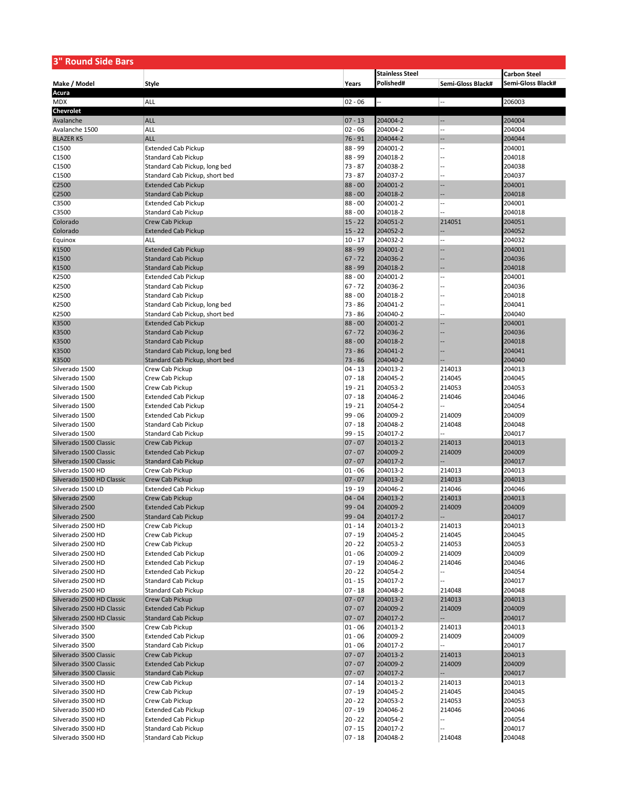| <b>3" Round Side Bars</b>              |                                                          |                        |                        |                   |                     |  |
|----------------------------------------|----------------------------------------------------------|------------------------|------------------------|-------------------|---------------------|--|
|                                        |                                                          |                        | <b>Stainless Steel</b> |                   | <b>Carbon Steel</b> |  |
| Make / Model                           | <b>Style</b>                                             | Years                  | Polished#              | Semi-Gloss Black# | Semi-Gloss Black#   |  |
| Acura                                  |                                                          |                        |                        |                   |                     |  |
| <b>MDX</b>                             | ALL                                                      | $02 - 06$              |                        | --                | 206003              |  |
| Chevrolet                              |                                                          |                        |                        |                   |                     |  |
| Avalanche                              | <b>ALL</b>                                               | $07 - 13$              | 204004-2               |                   | 204004              |  |
| Avalanche 1500                         | ALL                                                      | $02 - 06$              | 204004-2               |                   | 204004              |  |
| <b>BLAZER K5</b>                       | <b>ALL</b>                                               | $76 - 91$              | 204044-2               |                   | 204044              |  |
| C1500                                  | <b>Extended Cab Pickup</b>                               | 88 - 99                | 204001-2               |                   | 204001              |  |
| C1500                                  | <b>Standard Cab Pickup</b>                               | 88 - 99                | 204018-2               |                   | 204018              |  |
| C1500                                  | Standard Cab Pickup, long bed                            | $73 - 87$              | 204038-2               |                   | 204038              |  |
| C1500                                  | Standard Cab Pickup, short bed                           | $73 - 87$              | 204037-2               |                   | 204037              |  |
| C2500                                  | <b>Extended Cab Pickup</b>                               | $88 - 00$<br>$88 - 00$ | 204001-2               |                   | 204001<br>204018    |  |
| C2500<br>C3500                         | <b>Standard Cab Pickup</b><br><b>Extended Cab Pickup</b> | $88 - 00$              | 204018-2<br>204001-2   |                   | 204001              |  |
| C3500                                  | <b>Standard Cab Pickup</b>                               | $88 - 00$              | 204018-2               |                   | 204018              |  |
| Colorado                               | Crew Cab Pickup                                          | $15 - 22$              | 204051-2               | 214051            | 204051              |  |
| Colorado                               | <b>Extended Cab Pickup</b>                               | $15 - 22$              | 204052-2               |                   | 204052              |  |
| Equinox                                | ALL                                                      | $10 - 17$              | 204032-2               |                   | 204032              |  |
| K1500                                  | <b>Extended Cab Pickup</b>                               | 88 - 99                | 204001-2               |                   | 204001              |  |
| K1500                                  | <b>Standard Cab Pickup</b>                               | $67 - 72$              | 204036-2               |                   | 204036              |  |
| K1500                                  | <b>Standard Cab Pickup</b>                               | 88 - 99                | 204018-2               |                   | 204018              |  |
| K2500                                  | <b>Extended Cab Pickup</b>                               | $88 - 00$              | 204001-2               |                   | 204001              |  |
| K2500                                  | <b>Standard Cab Pickup</b>                               | $67 - 72$              | 204036-2               |                   | 204036              |  |
| K2500                                  | <b>Standard Cab Pickup</b>                               | $88 - 00$              | 204018-2               |                   | 204018              |  |
| K2500                                  | Standard Cab Pickup, long bed                            | $73 - 86$              | 204041-2               |                   | 204041              |  |
| K2500                                  | Standard Cab Pickup, short bed                           | $73 - 86$              | 204040-2               |                   | 204040              |  |
| K3500                                  | <b>Extended Cab Pickup</b>                               | $88 - 00$              | 204001-2               |                   | 204001              |  |
| K3500                                  | <b>Standard Cab Pickup</b>                               | $67 - 72$              | 204036-2               |                   | 204036              |  |
| K3500                                  | <b>Standard Cab Pickup</b>                               | $88 - 00$              | 204018-2               |                   | 204018              |  |
| K3500                                  | Standard Cab Pickup, long bed                            | $73 - 86$              | 204041-2               |                   | 204041              |  |
| K3500                                  | Standard Cab Pickup, short bed                           | $73 - 86$              | 204040-2               |                   | 204040              |  |
| Silverado 1500                         | Crew Cab Pickup                                          | $04 - 13$              | 204013-2               | 214013            | 204013              |  |
| Silverado 1500                         | Crew Cab Pickup                                          | $07 - 18$              | 204045-2               | 214045            | 204045              |  |
| Silverado 1500                         | Crew Cab Pickup                                          | $19 - 21$<br>$07 - 18$ | 204053-2               | 214053            | 204053<br>204046    |  |
| Silverado 1500<br>Silverado 1500       | <b>Extended Cab Pickup</b><br><b>Extended Cab Pickup</b> | $19 - 21$              | 204046-2<br>204054-2   | 214046            | 204054              |  |
| Silverado 1500                         | <b>Extended Cab Pickup</b>                               | $99 - 06$              | 204009-2               | 214009            | 204009              |  |
| Silverado 1500                         | <b>Standard Cab Pickup</b>                               | $07 - 18$              | 204048-2               | 214048            | 204048              |  |
| Silverado 1500                         | <b>Standard Cab Pickup</b>                               | $99 - 15$              | 204017-2               |                   | 204017              |  |
| Silverado 1500 Classic                 | Crew Cab Pickup                                          | $07 - 07$              | 204013-2               | 214013            | 204013              |  |
| Silverado 1500 Classic                 | <b>Extended Cab Pickup</b>                               | $07 - 07$              | 204009-2               | 214009            | 204009              |  |
| Silverado 1500 Classic                 | <b>Standard Cab Pickup</b>                               | $07 - 07$              | 204017-2               |                   | 204017              |  |
| Silverado 1500 HD                      | Crew Cab Pickup                                          | $01 - 06$              | 204013-2               | 214013            | 204013              |  |
| Silverado 1500 HD Classic              | <b>Crew Cab Pickup</b>                                   | $07 - 07$              | 204013-2               | 214013            | 204013              |  |
| Silverado 1500 LD                      | <b>Extended Cab Pickup</b>                               | $19 - 19$              | 204046-2               | 214046            | 204046              |  |
| Silverado 2500                         | Crew Cab Pickup                                          | $04 - 04$              | 204013-2               | 214013            | 204013              |  |
| Silverado 2500                         | <b>Extended Cab Pickup</b>                               | $99 - 04$              | 204009-2               | 214009            | 204009              |  |
| Silverado 2500                         | <b>Standard Cab Pickup</b>                               | 99 - 04                | 204017-2               |                   | 204017              |  |
| Silverado 2500 HD                      | Crew Cab Pickup                                          | $01 - 14$              | 204013-2               | 214013            | 204013              |  |
| Silverado 2500 HD                      | Crew Cab Pickup                                          | $07 - 19$              | 204045-2               | 214045            | 204045              |  |
| Silverado 2500 HD                      | Crew Cab Pickup                                          | $20 - 22$              | 204053-2               | 214053            | 204053              |  |
| Silverado 2500 HD<br>Silverado 2500 HD | <b>Extended Cab Pickup</b>                               | $01 - 06$<br>$07 - 19$ | 204009-2               | 214009<br>214046  | 204009              |  |
| Silverado 2500 HD                      | <b>Extended Cab Pickup</b><br><b>Extended Cab Pickup</b> | $20 - 22$              | 204046-2<br>204054-2   | --                | 204046<br>204054    |  |
| Silverado 2500 HD                      | Standard Cab Pickup                                      | $01 - 15$              | 204017-2               |                   | 204017              |  |
| Silverado 2500 HD                      | Standard Cab Pickup                                      | $07 - 18$              | 204048-2               | 214048            | 204048              |  |
| Silverado 2500 HD Classic              | <b>Crew Cab Pickup</b>                                   | $07 - 07$              | 204013-2               | 214013            | 204013              |  |
| Silverado 2500 HD Classic              | <b>Extended Cab Pickup</b>                               | $07 - 07$              | 204009-2               | 214009            | 204009              |  |
| Silverado 2500 HD Classic              | <b>Standard Cab Pickup</b>                               | $07 - 07$              | 204017-2               |                   | 204017              |  |
| Silverado 3500                         | Crew Cab Pickup                                          | $01 - 06$              | 204013-2               | 214013            | 204013              |  |
| Silverado 3500                         | <b>Extended Cab Pickup</b>                               | $01 - 06$              | 204009-2               | 214009            | 204009              |  |
| Silverado 3500                         | Standard Cab Pickup                                      | $01 - 06$              | 204017-2               |                   | 204017              |  |
| Silverado 3500 Classic                 | Crew Cab Pickup                                          | $07 - 07$              | 204013-2               | 214013            | 204013              |  |
| Silverado 3500 Classic                 | <b>Extended Cab Pickup</b>                               | $07 - 07$              | 204009-2               | 214009            | 204009              |  |
| Silverado 3500 Classic                 | <b>Standard Cab Pickup</b>                               | $07 - 07$              | 204017-2               |                   | 204017              |  |
| Silverado 3500 HD                      | Crew Cab Pickup                                          | $07 - 14$              | 204013-2               | 214013            | 204013              |  |
| Silverado 3500 HD                      | Crew Cab Pickup                                          | $07 - 19$              | 204045-2               | 214045            | 204045              |  |
| Silverado 3500 HD                      | Crew Cab Pickup                                          | $20 - 22$              | 204053-2               | 214053            | 204053              |  |
| Silverado 3500 HD                      | <b>Extended Cab Pickup</b>                               | $07 - 19$              | 204046-2               | 214046            | 204046              |  |
| Silverado 3500 HD                      | <b>Extended Cab Pickup</b>                               | $20 - 22$              | 204054-2               |                   | 204054              |  |
| Silverado 3500 HD                      | Standard Cab Pickup                                      | $07 - 15$              | 204017-2               |                   | 204017              |  |
| Silverado 3500 HD                      | <b>Standard Cab Pickup</b>                               | $07 - 18$              | 204048-2               | 214048            | 204048              |  |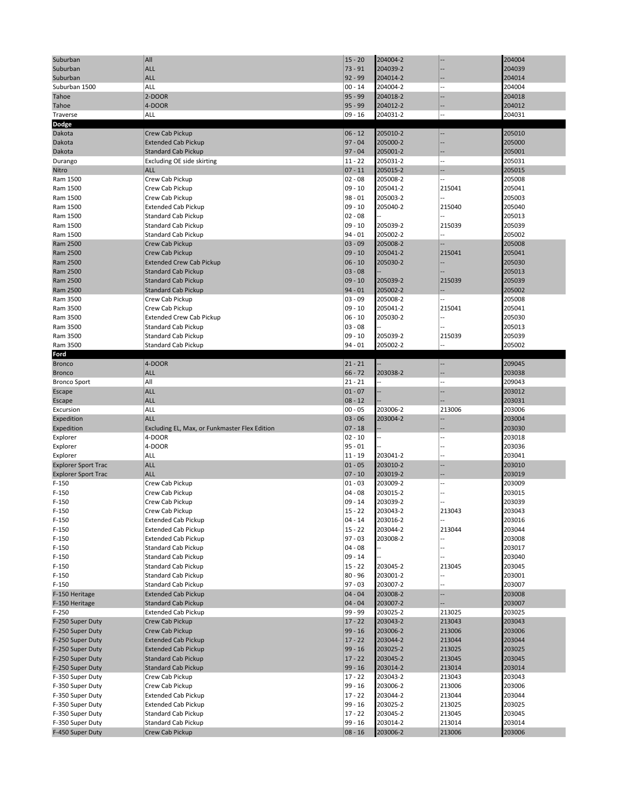| Suburban                   | All                                           | $15 - 20$ | 204004-2 |                          | 204004 |
|----------------------------|-----------------------------------------------|-----------|----------|--------------------------|--------|
| Suburban                   | <b>ALL</b>                                    | $73 - 91$ | 204039-2 |                          | 204039 |
| Suburban                   | <b>ALL</b>                                    | $92 - 99$ | 204014-2 |                          | 204014 |
| Suburban 1500              | ALL                                           | $00 - 14$ | 204004-2 |                          | 204004 |
| Tahoe                      | 2-DOOR                                        | $95 - 99$ | 204018-2 |                          | 204018 |
| Tahoe                      | 4-DOOR                                        | $95 - 99$ | 204012-2 |                          | 204012 |
| Traverse                   | ALL                                           | $09 - 16$ | 204031-2 |                          | 204031 |
| Dodge                      |                                               |           |          |                          |        |
| Dakota                     | Crew Cab Pickup                               | $06 - 12$ | 205010-2 |                          | 205010 |
| Dakota                     | <b>Extended Cab Pickup</b>                    | $97 - 04$ | 205000-2 |                          | 205000 |
| Dakota                     | <b>Standard Cab Pickup</b>                    | $97 - 04$ | 205001-2 |                          | 205001 |
| Durango                    | Excluding OE side skirting                    | $11 - 22$ | 205031-2 |                          | 205031 |
| Nitro                      | <b>ALL</b>                                    | $07 - 11$ | 205015-2 | ш,                       | 205015 |
| Ram 1500                   | Crew Cab Pickup                               | $02 - 08$ | 205008-2 |                          | 205008 |
| Ram 1500                   | Crew Cab Pickup                               | $09 - 10$ | 205041-2 | 215041                   | 205041 |
| Ram 1500                   | Crew Cab Pickup                               | $98 - 01$ | 205003-2 |                          | 205003 |
| Ram 1500                   |                                               | $09 - 10$ | 205040-2 | 215040                   | 205040 |
| Ram 1500                   | <b>Extended Cab Pickup</b>                    | $02 - 08$ |          |                          | 205013 |
|                            | <b>Standard Cab Pickup</b>                    | $09 - 10$ |          |                          |        |
| Ram 1500                   | <b>Standard Cab Pickup</b>                    |           | 205039-2 | 215039                   | 205039 |
| Ram 1500                   | <b>Standard Cab Pickup</b>                    | $94 - 01$ | 205002-2 |                          | 205002 |
| Ram 2500                   | Crew Cab Pickup                               | $03 - 09$ | 205008-2 |                          | 205008 |
| Ram 2500                   | Crew Cab Pickup                               | $09 - 10$ | 205041-2 | 215041                   | 205041 |
| Ram 2500                   | <b>Extended Crew Cab Pickup</b>               | $06 - 10$ | 205030-2 |                          | 205030 |
| Ram 2500                   | <b>Standard Cab Pickup</b>                    | $03 - 08$ |          |                          | 205013 |
| Ram 2500                   | <b>Standard Cab Pickup</b>                    | $09 - 10$ | 205039-2 | 215039                   | 205039 |
| Ram 2500                   | <b>Standard Cab Pickup</b>                    | $94 - 01$ | 205002-2 |                          | 205002 |
| Ram 3500                   | Crew Cab Pickup                               | $03 - 09$ | 205008-2 |                          | 205008 |
| Ram 3500                   | Crew Cab Pickup                               | $09 - 10$ | 205041-2 | 215041                   | 205041 |
| Ram 3500                   | <b>Extended Crew Cab Pickup</b>               | $06 - 10$ | 205030-2 |                          | 205030 |
| Ram 3500                   | <b>Standard Cab Pickup</b>                    | $03 - 08$ |          |                          | 205013 |
| Ram 3500                   | <b>Standard Cab Pickup</b>                    | $09 - 10$ | 205039-2 | 215039                   | 205039 |
| Ram 3500                   | <b>Standard Cab Pickup</b>                    | $94 - 01$ | 205002-2 |                          | 205002 |
| Ford                       |                                               |           |          |                          |        |
| <b>Bronco</b>              | 4-DOOR                                        | $21 - 21$ |          |                          | 209045 |
| <b>Bronco</b>              | <b>ALL</b>                                    | $66 - 72$ | 203038-2 |                          | 203038 |
| <b>Bronco Sport</b>        | All                                           | $21 - 21$ |          |                          | 209043 |
| Escape                     | <b>ALL</b>                                    | $01 - 07$ |          | Щ,                       | 203012 |
| Escape                     | <b>ALL</b>                                    | $08 - 12$ |          |                          | 203031 |
| Excursion                  | ALL                                           | $00 - 05$ | 203006-2 | 213006                   | 203006 |
| Expedition                 | <b>ALL</b>                                    | $03 - 06$ | 203004-2 |                          | 203004 |
| Expedition                 | Excluding EL, Max, or Funkmaster Flex Edition | $07 - 18$ |          |                          | 203030 |
| Explorer                   | 4-DOOR                                        | $02 - 10$ |          |                          | 203018 |
| Explorer                   | 4-DOOR                                        | $95 - 01$ |          |                          | 203036 |
| Explorer                   | ALL                                           | $11 - 19$ | 203041-2 |                          | 203041 |
| <b>Explorer Sport Trac</b> | <b>ALL</b>                                    | $01 - 05$ | 203010-2 |                          | 203010 |
| <b>Explorer Sport Trac</b> | <b>ALL</b>                                    | $07 - 10$ | 203019-2 |                          | 203019 |
| $F-150$                    | Crew Cab Pickup                               | $01 - 03$ | 203009-2 |                          | 203009 |
| $F-150$                    | Crew Cab Pickup                               | $04 - 08$ | 203015-2 |                          | 203015 |
| $F-150$                    | Crew Cab Pickup                               | $09 - 14$ | 203039-2 |                          | 203039 |
| $F-150$                    | Crew Cab Pickup                               | $15 - 22$ | 203043-2 | 213043                   | 203043 |
| $F-150$                    | <b>Extended Cab Pickup</b>                    | $04 - 14$ | 203016-2 |                          | 203016 |
| $F-150$                    | <b>Extended Cab Pickup</b>                    | $15 - 22$ | 203044-2 | 213044                   | 203044 |
| $F-150$                    | <b>Extended Cab Pickup</b>                    | $97 - 03$ | 203008-2 |                          | 203008 |
| $F-150$                    | Standard Cab Pickup                           | $04 - 08$ |          |                          | 203017 |
| F-150                      | Standard Cab Pickup                           | $09 - 14$ |          |                          | 203040 |
| $F-150$                    | Standard Cab Pickup                           | $15 - 22$ | 203045-2 | 213045                   | 203045 |
| $F-150$                    | Standard Cab Pickup                           | 80 - 96   | 203001-2 |                          | 203001 |
| $F-150$                    | Standard Cab Pickup                           | $97 - 03$ | 203007-2 |                          | 203007 |
| F-150 Heritage             | <b>Extended Cab Pickup</b>                    | $04 - 04$ | 203008-2 | $\overline{\phantom{a}}$ | 203008 |
| F-150 Heritage             | <b>Standard Cab Pickup</b>                    | $04 - 04$ | 203007-2 |                          | 203007 |
| $F-250$                    | <b>Extended Cab Pickup</b>                    | 99 - 99   | 203025-2 | 213025                   | 203025 |
| F-250 Super Duty           | Crew Cab Pickup                               | $17 - 22$ | 203043-2 | 213043                   | 203043 |
| F-250 Super Duty           | Crew Cab Pickup                               | $99 - 16$ | 203006-2 | 213006                   | 203006 |
| F-250 Super Duty           | <b>Extended Cab Pickup</b>                    | $17 - 22$ | 203044-2 | 213044                   | 203044 |
| F-250 Super Duty           | <b>Extended Cab Pickup</b>                    | $99 - 16$ | 203025-2 | 213025                   | 203025 |
| F-250 Super Duty           | <b>Standard Cab Pickup</b>                    | $17 - 22$ | 203045-2 | 213045                   | 203045 |
| F-250 Super Duty           | <b>Standard Cab Pickup</b>                    | $99 - 16$ | 203014-2 | 213014                   | 203014 |
| F-350 Super Duty           | Crew Cab Pickup                               | $17 - 22$ | 203043-2 | 213043                   | 203043 |
| F-350 Super Duty           | Crew Cab Pickup                               | $99 - 16$ | 203006-2 | 213006                   | 203006 |
| F-350 Super Duty           | <b>Extended Cab Pickup</b>                    | $17 - 22$ | 203044-2 | 213044                   | 203044 |
| F-350 Super Duty           | <b>Extended Cab Pickup</b>                    | $99 - 16$ | 203025-2 | 213025                   | 203025 |
| F-350 Super Duty           | Standard Cab Pickup                           | $17 - 22$ | 203045-2 | 213045                   | 203045 |
| F-350 Super Duty           | Standard Cab Pickup                           | $99 - 16$ | 203014-2 | 213014                   | 203014 |
| F-450 Super Duty           | Crew Cab Pickup                               | $08 - 16$ | 203006-2 | 213006                   | 203006 |
|                            |                                               |           |          |                          |        |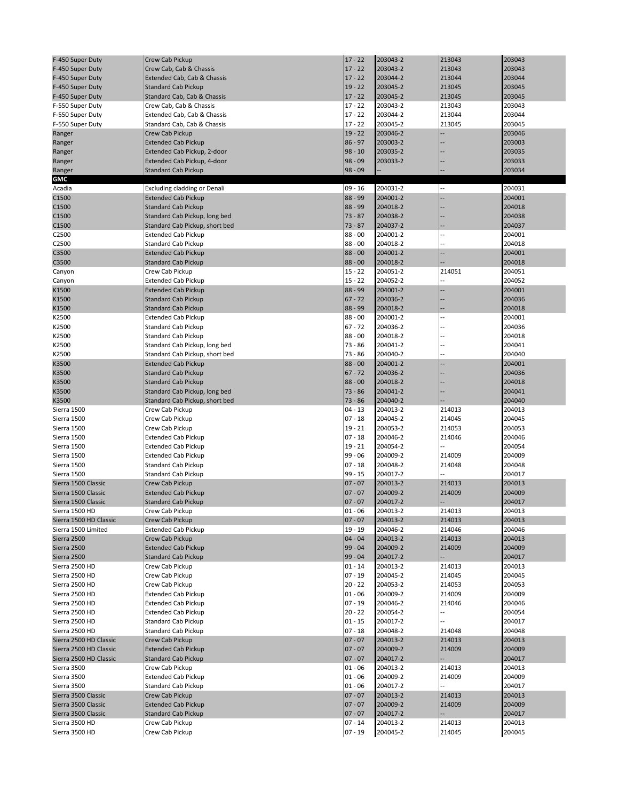| F-450 Super Duty                 | Crew Cab Pickup                    | $17 - 22$            | 203043-2             | 213043                   | 203043           |
|----------------------------------|------------------------------------|----------------------|----------------------|--------------------------|------------------|
| F-450 Super Duty                 | Crew Cab, Cab & Chassis            | $17 - 22$            | 203043-2             | 213043                   | 203043           |
|                                  |                                    |                      |                      |                          |                  |
| F-450 Super Duty                 | Extended Cab, Cab & Chassis        | $17 - 22$            | 203044-2             | 213044                   | 203044           |
| F-450 Super Duty                 | <b>Standard Cab Pickup</b>         | $19 - 22$            | 203045-2             | 213045                   | 203045           |
| F-450 Super Duty                 | Standard Cab, Cab & Chassis        | $17 - 22$            | 203045-2             | 213045                   | 203045           |
| F-550 Super Duty                 | Crew Cab, Cab & Chassis            | $17 - 22$            | 203043-2             | 213043                   | 203043           |
| F-550 Super Duty                 | Extended Cab, Cab & Chassis        | $17 - 22$            | 203044-2             | 213044                   | 203044           |
| F-550 Super Duty                 | Standard Cab, Cab & Chassis        | $17 - 22$            | 203045-2             | 213045                   | 203045           |
|                                  | Crew Cab Pickup                    | $19 - 22$            | 203046-2             |                          | 203046           |
| Ranger                           |                                    |                      |                      |                          |                  |
| Ranger                           | <b>Extended Cab Pickup</b>         | $86 - 97$            | 203003-2             |                          | 203003           |
| Ranger                           | Extended Cab Pickup, 2-door        | $98 - 10$            | 203035-2             |                          | 203035           |
| Ranger                           | Extended Cab Pickup, 4-door        | $98 - 09$            | 203033-2             |                          | 203033           |
| Ranger                           | <b>Standard Cab Pickup</b>         | $98 - 09$            |                      |                          | 203034           |
| <b>GMC</b>                       |                                    |                      |                      |                          |                  |
| Acadia                           | Excluding cladding or Denali       | $09 - 16$            | 204031-2             |                          | 204031           |
| C1500                            | <b>Extended Cab Pickup</b>         | 88 - 99              | 204001-2             | Ξ.                       | 204001           |
| C1500                            | <b>Standard Cab Pickup</b>         | 88 - 99              | 204018-2             |                          | 204018           |
|                                  |                                    |                      |                      |                          |                  |
| C1500                            | Standard Cab Pickup, long bed      | $73 - 87$            | 204038-2             |                          | 204038           |
| C1500                            | Standard Cab Pickup, short bed     | $73 - 87$            | 204037-2             |                          | 204037           |
| C2500                            | <b>Extended Cab Pickup</b>         | $88 - 00$            | 204001-2             | $\overline{a}$           | 204001           |
| C2500                            | <b>Standard Cab Pickup</b>         | $88 - 00$            | 204018-2             |                          | 204018           |
| C3500                            | <b>Extended Cab Pickup</b>         | $88 - 00$            | 204001-2             | $\overline{\phantom{a}}$ | 204001           |
| C3500                            | <b>Standard Cab Pickup</b>         | $88 - 00$            | 204018-2             |                          | 204018           |
| Canyon                           | Crew Cab Pickup                    | $15 - 22$            | 204051-2             | 214051                   | 204051           |
| Canyon                           | <b>Extended Cab Pickup</b>         | $15 - 22$            | 204052-2             |                          | 204052           |
| K1500                            | <b>Extended Cab Pickup</b>         | $88 - 99$            | 204001-2             |                          | 204001           |
|                                  |                                    | $67 - 72$            |                      |                          |                  |
| K1500                            | <b>Standard Cab Pickup</b>         |                      | 204036-2             |                          | 204036           |
| K1500                            | <b>Standard Cab Pickup</b>         | $88 - 99$            | 204018-2             |                          | 204018           |
| K2500                            | <b>Extended Cab Pickup</b>         | $88 - 00$            | 204001-2             | --                       | 204001           |
| K2500                            | <b>Standard Cab Pickup</b>         | $67 - 72$            | 204036-2             |                          | 204036           |
| K2500                            | <b>Standard Cab Pickup</b>         | $88 - 00$            | 204018-2             |                          | 204018           |
| K2500                            | Standard Cab Pickup, long bed      | $73 - 86$            | 204041-2             |                          | 204041           |
| K2500                            | Standard Cab Pickup, short bed     | $73 - 86$            | 204040-2             |                          | 204040           |
| K3500                            | <b>Extended Cab Pickup</b>         | $88 - 00$            | 204001-2             |                          | 204001           |
|                                  |                                    | $67 - 72$            | 204036-2             |                          | 204036           |
| K3500                            | <b>Standard Cab Pickup</b>         |                      |                      |                          |                  |
| K3500                            | <b>Standard Cab Pickup</b>         | $88 - 00$            | 204018-2             |                          | 204018           |
| K3500                            | Standard Cab Pickup, long bed      | $73 - 86$            | 204041-2             |                          | 204041           |
| K3500                            | Standard Cab Pickup, short bed     | $73 - 86$            | 204040-2             |                          | 204040           |
| Sierra 1500                      | Crew Cab Pickup                    | $04 - 13$            | 204013-2             | 214013                   | 204013           |
| Sierra 1500                      | Crew Cab Pickup                    | $07 - 18$            | 204045-2             | 214045                   | 204045           |
| Sierra 1500                      | Crew Cab Pickup                    | $19 - 21$            | 204053-2             | 214053                   | 204053           |
| Sierra 1500                      | <b>Extended Cab Pickup</b>         | $07 - 18$            | 204046-2             | 214046                   | 204046           |
| Sierra 1500                      | <b>Extended Cab Pickup</b>         | $19 - 21$            | 204054-2             |                          | 204054           |
| Sierra 1500                      |                                    | $99 - 06$            | 204009-2             | 214009                   | 204009           |
|                                  | <b>Extended Cab Pickup</b>         |                      |                      |                          |                  |
| Sierra 1500                      | <b>Standard Cab Pickup</b>         | $07 - 18$            | 204048-2             | 214048                   | 204048           |
| Sierra 1500                      | <b>Standard Cab Pickup</b>         | $99 - 15$            | 204017-2             | --                       | 204017           |
| Sierra 1500 Classic              | Crew Cab Pickup                    | $07 - 07$            | 204013-2             | 214013                   | 204013           |
| Sierra 1500 Classic              | <b>Extended Cab Pickup</b>         | $07 - 07$            | 204009-2             | 214009                   | 204009           |
| Sierra 1500 Classic              | <b>Standard Cab Pickup</b>         | $07 - 07$            | 204017-2             |                          | 204017           |
| Sierra 1500 HD                   | Crew Cab Pickup                    | $01 - 06$            | 204013-2             | 214013                   | 204013           |
| Sierra 1500 HD Classic           | Crew Cab Pickup                    | $07 - 07$            | 204013-2             | 214013                   | 204013           |
| Sierra 1500 Limited              | <b>Extended Cab Pickup</b>         | $19 - 19$            | 204046-2             | 214046                   | 204046           |
| Sierra 2500                      | Crew Cab Pickup                    | $04 - 04$            | 204013-2             | 214013                   | 204013           |
|                                  |                                    |                      |                      |                          |                  |
| Sierra 2500                      | <b>Extended Cab Pickup</b>         | $99 - 04$            | 204009-2             | 214009                   | 204009           |
| Sierra 2500                      | <b>Standard Cab Pickup</b>         | $99 - 04$            | 204017-2             |                          | 204017           |
| Sierra 2500 HD                   | Crew Cab Pickup                    | $01 - 14$            | 204013-2             | 214013                   | 204013           |
| Sierra 2500 HD                   | Crew Cab Pickup                    | $07 - 19$            | 204045-2             | 214045                   | 204045           |
| Sierra 2500 HD                   | Crew Cab Pickup                    | $20 - 22$            | 204053-2             | 214053                   | 204053           |
| Sierra 2500 HD                   | <b>Extended Cab Pickup</b>         | 01 - 06              | 204009-2             | 214009                   | 204009           |
| Sierra 2500 HD                   | <b>Extended Cab Pickup</b>         | $07 - 19$            | 204046-2             | 214046                   | 204046           |
| Sierra 2500 HD                   | <b>Extended Cab Pickup</b>         | $20 - 22$            | 204054-2             |                          | 204054           |
| Sierra 2500 HD                   | Standard Cab Pickup                | $01 - 15$            | 204017-2             |                          | 204017           |
|                                  | Standard Cab Pickup                |                      |                      |                          |                  |
| Sierra 2500 HD                   |                                    | $07 - 18$            | 204048-2             | 214048                   | 204048           |
| Sierra 2500 HD Classic           |                                    |                      |                      |                          | 204013           |
|                                  | Crew Cab Pickup                    | $07 - 07$            | 204013-2             | 214013                   |                  |
| Sierra 2500 HD Classic           | <b>Extended Cab Pickup</b>         | $07 - 07$            | 204009-2             | 214009                   | 204009           |
| Sierra 2500 HD Classic           | <b>Standard Cab Pickup</b>         | $07 - 07$            | 204017-2             |                          | 204017           |
| Sierra 3500                      | Crew Cab Pickup                    | 01 - 06              | 204013-2             | 214013                   | 204013           |
| Sierra 3500                      | <b>Extended Cab Pickup</b>         | $01 - 06$            | 204009-2             | 214009                   | 204009           |
|                                  |                                    |                      |                      | --                       |                  |
| Sierra 3500                      | Standard Cab Pickup                | 01 - 06              | 204017-2             |                          | 204017           |
| Sierra 3500 Classic              | Crew Cab Pickup                    | $07 - 07$            | 204013-2             | 214013                   | 204013           |
| Sierra 3500 Classic              | <b>Extended Cab Pickup</b>         | $07 - 07$            | 204009-2             | 214009                   | 204009           |
| Sierra 3500 Classic              | <b>Standard Cab Pickup</b>         | $07 - 07$            | 204017-2             |                          | 204017           |
| Sierra 3500 HD<br>Sierra 3500 HD | Crew Cab Pickup<br>Crew Cab Pickup | 07 - 14<br>$07 - 19$ | 204013-2<br>204045-2 | 214013<br>214045         | 204013<br>204045 |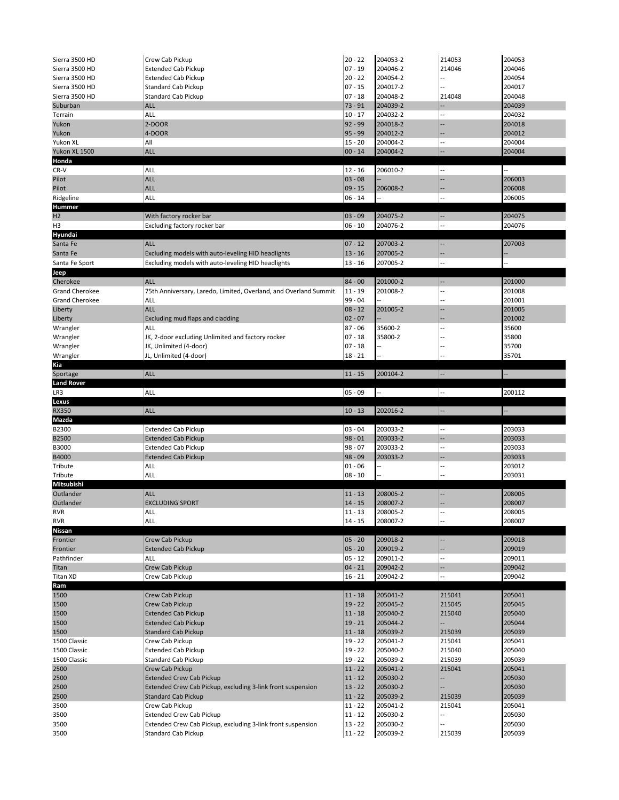| Sierra 3500 HD                | Crew Cab Pickup                                                                                | $20 - 22$              | 204053-2             | 214053         | 204053           |
|-------------------------------|------------------------------------------------------------------------------------------------|------------------------|----------------------|----------------|------------------|
| Sierra 3500 HD                | <b>Extended Cab Pickup</b>                                                                     | $07 - 19$              | 204046-2             | 214046         | 204046           |
| Sierra 3500 HD                | <b>Extended Cab Pickup</b>                                                                     | $20 - 22$              | 204054-2             |                | 204054           |
| Sierra 3500 HD                | <b>Standard Cab Pickup</b>                                                                     | $07 - 15$              | 204017-2             |                | 204017           |
| Sierra 3500 HD                | <b>Standard Cab Pickup</b>                                                                     | $07 - 18$              | 204048-2             | 214048         | 204048           |
| Suburban                      | <b>ALL</b>                                                                                     | $73 - 91$              | 204039-2             |                | 204039           |
| Terrain                       | ALL                                                                                            | $10 - 17$              | 204032-2<br>204018-2 |                | 204032           |
| Yukon<br>Yukon                | 2-DOOR<br>4-DOOR                                                                               | $92 - 99$<br>$95 - 99$ | 204012-2             |                | 204018<br>204012 |
| Yukon XL                      | All                                                                                            | $15 - 20$              | 204004-2             |                | 204004           |
| Yukon XL 1500                 | <b>ALL</b>                                                                                     | $00 - 14$              | 204004-2             |                | 204004           |
| Honda                         |                                                                                                |                        |                      |                |                  |
| $CR-V$                        | ALL                                                                                            | $12 - 16$              | 206010-2             |                | ÷.               |
| Pilot                         | <b>ALL</b>                                                                                     | $03 - 08$              |                      | --             | 206003           |
| Pilot                         | <b>ALL</b>                                                                                     | $09 - 15$              | 206008-2             |                | 206008           |
| Ridgeline                     | ALL                                                                                            | $06 - 14$              |                      |                | 206005           |
| <b>Hummer</b>                 |                                                                                                |                        |                      |                |                  |
| H2                            | With factory rocker bar                                                                        | $03 - 09$              | 204075-2             |                | 204075           |
| H <sub>3</sub>                | Excluding factory rocker bar                                                                   | $06 - 10$              | 204076-2             |                | 204076           |
| Hyundai                       | <b>ALL</b>                                                                                     | $07 - 12$              | 207003-2             |                | 207003           |
| Santa Fe<br>Santa Fe          | Excluding models with auto-leveling HID headlights                                             | $13 - 16$              | 207005-2             |                |                  |
| Santa Fe Sport                | Excluding models with auto-leveling HID headlights                                             | $13 - 16$              | 207005-2             |                |                  |
| Jeep                          |                                                                                                |                        |                      |                |                  |
| Cherokee                      | <b>ALL</b>                                                                                     | $84 - 00$              | 201000-2             |                | 201000           |
| <b>Grand Cherokee</b>         | 75th Anniversary, Laredo, Limited, Overland, and Overland Summit                               | $11 - 19$              | 201008-2             |                | 201008           |
| <b>Grand Cherokee</b>         | ALL                                                                                            | $99 - 04$              |                      |                | 201001           |
| Liberty                       | <b>ALL</b>                                                                                     | $08 - 12$              | 201005-2             |                | 201005           |
| Liberty                       | Excluding mud flaps and cladding                                                               | $02 - 07$              |                      |                | 201002           |
| Wrangler                      | ALL                                                                                            | $87 - 06$              | 35600-2              |                | 35600            |
| Wrangler                      | JK, 2-door excluding Unlimited and factory rocker                                              | $07 - 18$              | 35800-2              |                | 35800            |
| Wrangler                      | JK, Unlimited (4-door)                                                                         | $07 - 18$              |                      |                | 35700            |
| Wrangler                      | JL, Unlimited (4-door)                                                                         | $18 - 21$              |                      |                | 35701            |
| Kia                           | ALL                                                                                            | $11 - 15$              | 200104-2             |                |                  |
| Sportage<br><b>Land Rover</b> |                                                                                                |                        |                      |                |                  |
| LR3                           | <b>ALL</b>                                                                                     | $05 - 09$              |                      |                | 200112           |
|                               |                                                                                                |                        |                      |                |                  |
|                               |                                                                                                |                        |                      |                |                  |
| Lexus<br><b>RX350</b>         | ALL                                                                                            | $10 - 13$              | 202016-2             | --             |                  |
| Mazda                         |                                                                                                |                        |                      |                |                  |
| B2300                         | <b>Extended Cab Pickup</b>                                                                     | $03 - 04$              | 203033-2             |                | 203033           |
| <b>B2500</b>                  | <b>Extended Cab Pickup</b>                                                                     | $98 - 01$              | 203033-2             |                | 203033           |
| B3000                         | <b>Extended Cab Pickup</b>                                                                     | $98 - 07$              | 203033-2             |                | 203033           |
| B4000                         | <b>Extended Cab Pickup</b>                                                                     | $98 - 09$              | 203033-2             |                | 203033           |
| Tribute                       | ALL                                                                                            | $01 - 06$              |                      |                | 203012           |
| Tribute                       | ALL                                                                                            | $08 - 10$              |                      |                | 203031           |
| Mitsubishi                    |                                                                                                |                        |                      |                |                  |
| Outlander                     | <b>ALL</b>                                                                                     | $11 - 13$              | 208005-2             |                | 208005           |
| Outlander                     | <b>EXCLUDING SPORT</b>                                                                         | $14 - 15$              | 208007-2             |                | 208007           |
| <b>RVR</b>                    | ALL                                                                                            | $11 - 13$              | 208005-2             |                | 208005           |
| <b>RVR</b>                    | ALL                                                                                            | $14 - 15$              | 208007-2             |                | 208007           |
| <b>Nissan</b><br>Frontier     | Crew Cab Pickup                                                                                | $05 - 20$              | 209018-2             | $\overline{a}$ | 209018           |
| Frontier                      | <b>Extended Cab Pickup</b>                                                                     | $05 - 20$              | 209019-2             |                | 209019           |
| Pathfinder                    | ALL                                                                                            | $05 - 12$              | 209011-2             |                | 209011           |
| Titan                         | Crew Cab Pickup                                                                                | $04 - 21$              | 209042-2             | --             | 209042           |
| <b>Titan XD</b>               | Crew Cab Pickup                                                                                | $16 - 21$              | 209042-2             |                | 209042           |
| Ram                           |                                                                                                |                        |                      |                |                  |
| 1500                          | Crew Cab Pickup                                                                                | $11 - 18$              | 205041-2             | 215041         | 205041           |
| 1500                          | Crew Cab Pickup                                                                                | $19 - 22$              | 205045-2             | 215045         | 205045           |
| 1500                          | <b>Extended Cab Pickup</b>                                                                     | $11 - 18$              | 205040-2             | 215040         | 205040           |
| 1500                          | <b>Extended Cab Pickup</b>                                                                     | $19 - 21$              | 205044-2             |                | 205044           |
| 1500                          | <b>Standard Cab Pickup</b>                                                                     | $11 - 18$              | 205039-2             | 215039         | 205039           |
| 1500 Classic                  | Crew Cab Pickup                                                                                | $19 - 22$              | 205041-2             | 215041         | 205041           |
| 1500 Classic                  | <b>Extended Cab Pickup</b>                                                                     | $19 - 22$              | 205040-2             | 215040         | 205040           |
| 1500 Classic                  | Standard Cab Pickup                                                                            | $19 - 22$              | 205039-2             | 215039         | 205039           |
| 2500                          | Crew Cab Pickup                                                                                | $11 - 22$              | 205041-2             | 215041<br>--   | 205041           |
| 2500<br>2500                  | <b>Extended Crew Cab Pickup</b><br>Extended Crew Cab Pickup, excluding 3-link front suspension | $11 - 12$<br>$13 - 22$ | 205030-2<br>205030-2 | Ξ.             | 205030<br>205030 |
| 2500                          | <b>Standard Cab Pickup</b>                                                                     | $11 - 22$              | 205039-2             | 215039         | 205039           |
| 3500                          | Crew Cab Pickup                                                                                | $11 - 22$              | 205041-2             | 215041         | 205041           |
| 3500                          | <b>Extended Crew Cab Pickup</b>                                                                | $11 - 12$              | 205030-2             | --             | 205030           |
| 3500<br>3500                  | Extended Crew Cab Pickup, excluding 3-link front suspension<br>Standard Cab Pickup             | $13 - 22$<br>$11 - 22$ | 205030-2<br>205039-2 | 215039         | 205030<br>205039 |